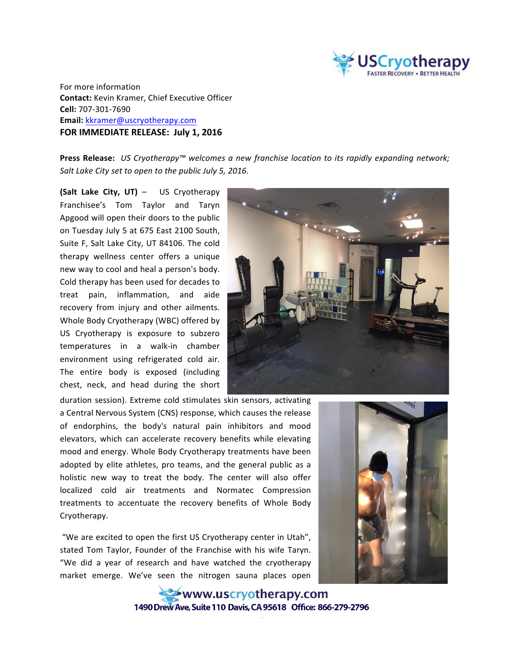

For more information **Contact:** Kevin Kramer, Chief Executive Officer **Cell:** 707-301-7690 **Email:** kkramer@uscryotherapy.com **FOR IMMEDIATE RELEASE: July 1, 2016** 

**Press Release:** *US Cryotherapy™* welcomes a new franchise location to its rapidly expanding network; *Salt Lake City set to open to the public July 5, 2016.* 

**(Salt Lake City, UT)** – US Cryotherapy Franchisee's Tom Taylor and Taryn Apgood will open their doors to the public on Tuesday July 5 at 675 East 2100 South, Suite F, Salt Lake City, UT 84106. The cold therapy wellness center offers a unique new way to cool and heal a person's body. Cold therapy has been used for decades to treat pain, inflammation, and aide recovery from injury and other ailments. Whole Body Cryotherapy (WBC) offered by US Cryotherapy is exposure to subzero temperatures in a walk-in chamber environment using refrigerated cold air. The entire body is exposed (including chest, neck, and head during the short



duration session). Extreme cold stimulates skin sensors, activating a Central Nervous System (CNS) response, which causes the release of endorphins, the body's natural pain inhibitors and mood elevators, which can accelerate recovery benefits while elevating mood and energy. Whole Body Cryotherapy treatments have been adopted by elite athletes, pro teams, and the general public as a holistic new way to treat the body. The center will also offer localized cold air treatments and Normatec Compression treatments to accentuate the recovery benefits of Whole Body Cryotherapy.

"We are excited to open the first US Cryotherapy center in Utah", stated Tom Taylor, Founder of the Franchise with his wife Taryn. "We did a year of research and have watched the cryotherapy market emerge. We've seen the nitrogen sauna places open



www.uscryotherapy.com 1490 Drew Ave. Suite 110 Davis. CA 95618 Office: 866-279-2796